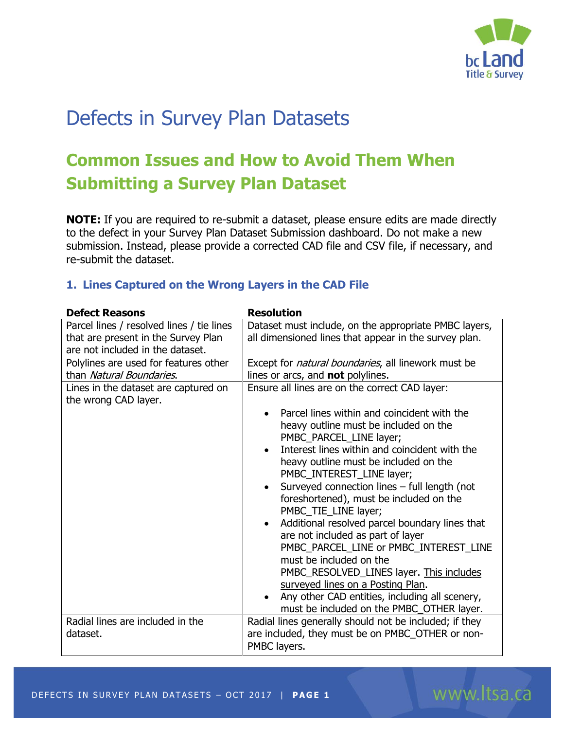

www.ltsa.ca

# Defects in Survey Plan Datasets

## **Common Issues and How to Avoid Them When Submitting a Survey Plan Dataset**

**NOTE:** If you are required to re-submit a dataset, please ensure edits are made directly to the defect in your Survey Plan Dataset Submission dashboard. Do not make a new submission. Instead, please provide a corrected CAD file and CSV file, if necessary, and re-submit the dataset.

### **1. Lines Captured on the Wrong Layers in the CAD File**

| <b>Defect Reasons</b>                                                            | <b>Resolution</b>                                                                                                                          |
|----------------------------------------------------------------------------------|--------------------------------------------------------------------------------------------------------------------------------------------|
| Parcel lines / resolved lines / tie lines<br>that are present in the Survey Plan | Dataset must include, on the appropriate PMBC layers,<br>all dimensioned lines that appear in the survey plan.                             |
| are not included in the dataset.                                                 |                                                                                                                                            |
| Polylines are used for features other<br>than Natural Boundaries.                | Except for <i>natural boundaries</i> , all linework must be<br>lines or arcs, and <b>not</b> polylines.                                    |
| Lines in the dataset are captured on<br>the wrong CAD layer.                     | Ensure all lines are on the correct CAD layer:                                                                                             |
|                                                                                  | Parcel lines within and coincident with the<br>heavy outline must be included on the<br>PMBC_PARCEL_LINE layer;                            |
|                                                                                  | Interest lines within and coincident with the<br>$\bullet$<br>heavy outline must be included on the<br>PMBC_INTEREST_LINE layer;           |
|                                                                                  | Surveyed connection lines - full length (not<br>$\bullet$<br>foreshortened), must be included on the<br>PMBC_TIE_LINE layer;               |
|                                                                                  | Additional resolved parcel boundary lines that<br>$\bullet$<br>are not included as part of layer<br>PMBC_PARCEL_LINE or PMBC_INTEREST_LINE |
|                                                                                  | must be included on the<br>PMBC_RESOLVED_LINES layer. This includes                                                                        |
|                                                                                  | surveyed lines on a Posting Plan.<br>Any other CAD entities, including all scenery,<br>must be included on the PMBC_OTHER layer.           |
| Radial lines are included in the<br>dataset.                                     | Radial lines generally should not be included; if they<br>are included, they must be on PMBC_OTHER or non-<br>PMBC layers.                 |

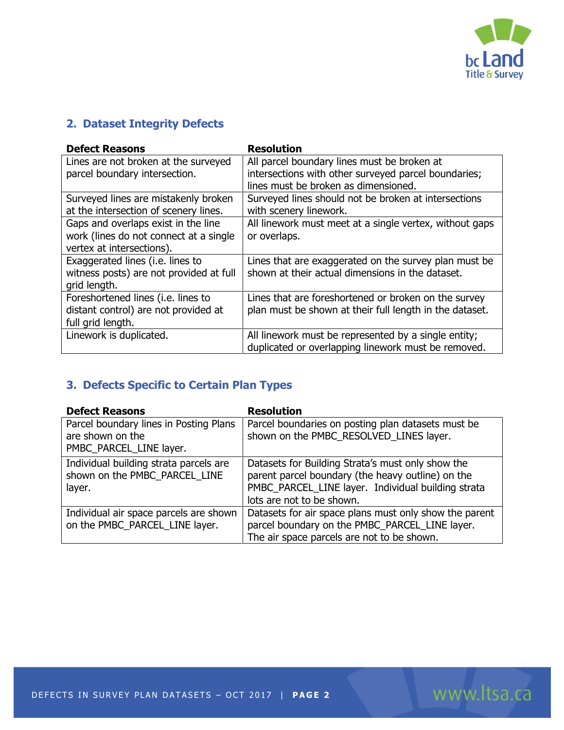

www.ltsa.ca

## **2. Dataset Integrity Defects**

| <b>Defect Reasons</b>                   | <b>Resolution</b>                                       |
|-----------------------------------------|---------------------------------------------------------|
| Lines are not broken at the surveyed    | All parcel boundary lines must be broken at             |
| parcel boundary intersection.           | intersections with other surveyed parcel boundaries;    |
|                                         | lines must be broken as dimensioned.                    |
| Surveyed lines are mistakenly broken    | Surveyed lines should not be broken at intersections    |
| at the intersection of scenery lines.   | with scenery linework.                                  |
| Gaps and overlaps exist in the line     | All linework must meet at a single vertex, without gaps |
| work (lines do not connect at a single  | or overlaps.                                            |
| vertex at intersections).               |                                                         |
| Exaggerated lines (i.e. lines to        | Lines that are exaggerated on the survey plan must be   |
| witness posts) are not provided at full | shown at their actual dimensions in the dataset.        |
| grid length.                            |                                                         |
| Foreshortened lines (i.e. lines to      | Lines that are foreshortened or broken on the survey    |
| distant control) are not provided at    | plan must be shown at their full length in the dataset. |
| full grid length.                       |                                                         |
| Linework is duplicated.                 | All linework must be represented by a single entity;    |
|                                         | duplicated or overlapping linework must be removed.     |

## **3. Defects Specific to Certain Plan Types**

| <b>Defect Reasons</b>                  | <b>Resolution</b>                                      |
|----------------------------------------|--------------------------------------------------------|
| Parcel boundary lines in Posting Plans | Parcel boundaries on posting plan datasets must be     |
| are shown on the                       | shown on the PMBC RESOLVED LINES layer.                |
| PMBC_PARCEL_LINE layer.                |                                                        |
| Individual building strata parcels are | Datasets for Building Strata's must only show the      |
| shown on the PMBC PARCEL LINE          | parent parcel boundary (the heavy outline) on the      |
| layer.                                 | PMBC_PARCEL_LINE layer. Individual building strata     |
|                                        | lots are not to be shown.                              |
| Individual air space parcels are shown | Datasets for air space plans must only show the parent |
| on the PMBC_PARCEL_LINE layer.         | parcel boundary on the PMBC_PARCEL_LINE layer.         |
|                                        | The air space parcels are not to be shown.             |